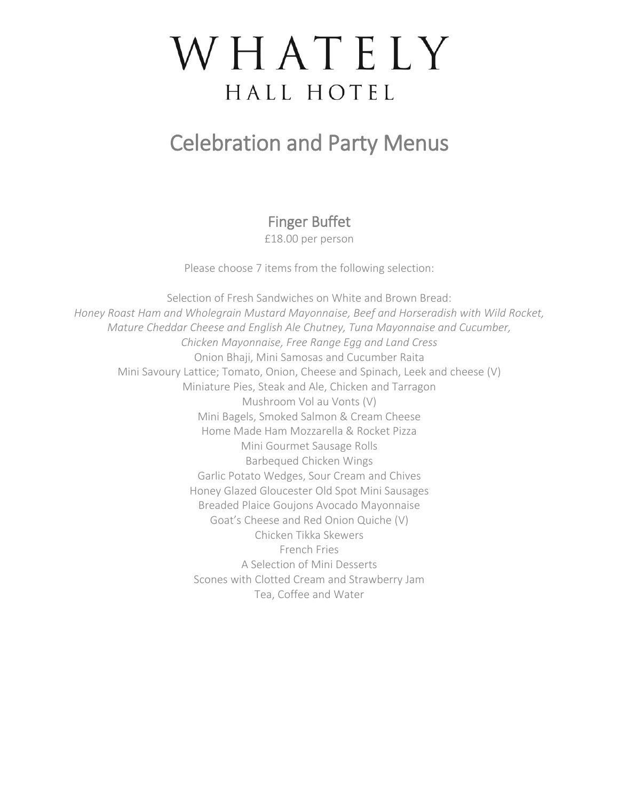# WHATELY HALL HOTEL

### Celebration and Party Menus

Finger Buffet

£18.00 per person

Please choose 7 items from the following selection:

Selection of Fresh Sandwiches on White and Brown Bread: *Honey Roast Ham and Wholegrain Mustard Mayonnaise, Beef and Horseradish with Wild Rocket, Mature Cheddar Cheese and English Ale Chutney, Tuna Mayonnaise and Cucumber, Chicken Mayonnaise, Free Range Egg and Land Cress* Onion Bhaji, Mini Samosas and Cucumber Raita Mini Savoury Lattice; Tomato, Onion, Cheese and Spinach, Leek and cheese (V) Miniature Pies, Steak and Ale, Chicken and Tarragon Mushroom Vol au Vonts (V) Mini Bagels, Smoked Salmon & Cream Cheese Home Made Ham Mozzarella & Rocket Pizza Mini Gourmet Sausage Rolls Barbequed Chicken Wings Garlic Potato Wedges, Sour Cream and Chives Honey Glazed Gloucester Old Spot Mini Sausages Breaded Plaice Goujons Avocado Mayonnaise Goat's Cheese and Red Onion Quiche (V) Chicken Tikka Skewers French Fries A Selection of Mini Desserts Scones with Clotted Cream and Strawberry Jam Tea, Coffee and Water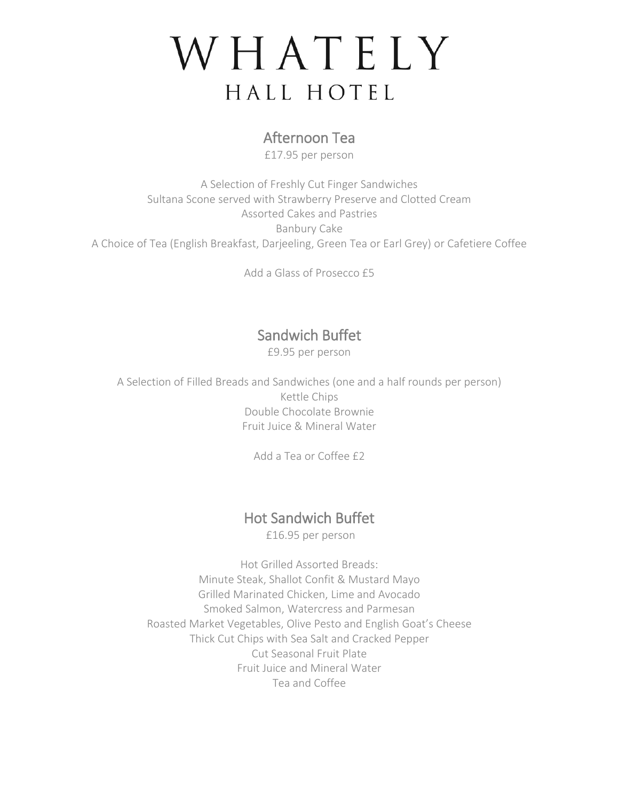## WHATELY HALL HOTEL

#### Afternoon Tea

£17.95 per person

A Selection of Freshly Cut Finger Sandwiches Sultana Scone served with Strawberry Preserve and Clotted Cream Assorted Cakes and Pastries Banbury Cake A Choice of Tea (English Breakfast, Darjeeling, Green Tea or Earl Grey) or Cafetiere Coffee

Add a Glass of Prosecco £5

#### Sandwich Buffet

£9.95 per person

A Selection of Filled Breads and Sandwiches (one and a half rounds per person) Kettle Chips Double Chocolate Brownie Fruit Juice & Mineral Water

Add a Tea or Coffee £2

### Hot Sandwich Buffet

£16.95 per person

Hot Grilled Assorted Breads: Minute Steak, Shallot Confit & Mustard Mayo Grilled Marinated Chicken, Lime and Avocado Smoked Salmon, Watercress and Parmesan Roasted Market Vegetables, Olive Pesto and English Goat's Cheese Thick Cut Chips with Sea Salt and Cracked Pepper Cut Seasonal Fruit Plate Fruit Juice and Mineral Water Tea and Coffee